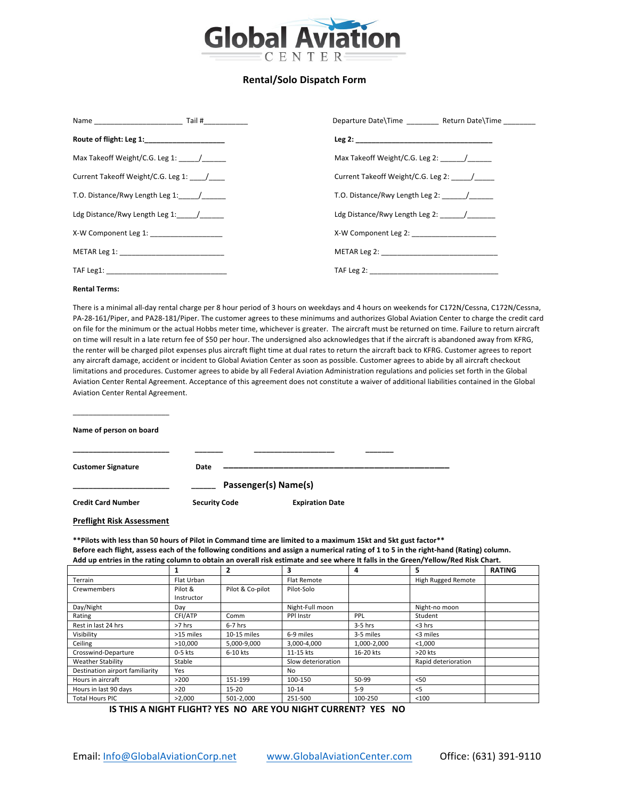

### **Rental/Solo Dispatch Form**

| Name Tail #                                                                                                                                                                                                                    | Departure Date\Time The Return Date\Time |
|--------------------------------------------------------------------------------------------------------------------------------------------------------------------------------------------------------------------------------|------------------------------------------|
| Route of flight: Leg 1: ____________________                                                                                                                                                                                   |                                          |
| Max Takeoff Weight/C.G. Leg 1: \\cdots\\sqrt{\math{\sqrt{\sqrt{\sqrt{\sqrt{\sqrt{\sqrt{\sqrt{\sqrt{\sqrt{\sqrt{\sqrt{\sqrt{\sqrt{\sqrt{\sqrt{\sqrt{\sqrt{\sqrt{\sqrt{\sqrt{\sqrt{\sqrt{\sqrt{\sqrt{\sqrt{\sqrt{\sqrt{\sqrt{\sq | Max Takeoff Weight/C.G. Leg 2: \\cdots / |
| Current Takeoff Weight/C.G. Leg 1:                                                                                                                                                                                             | Current Takeoff Weight/C.G. Leg 2:       |
| T.O. Distance/Rwy Length Leg 1: /                                                                                                                                                                                              | T.O. Distance/Rwy Length Leg 2: /        |
| Ldg Distance/Rwy Length Leg 1: /                                                                                                                                                                                               | Ldg Distance/Rwy Length Leg 2: /         |
| X-W Component Leg 1:                                                                                                                                                                                                           |                                          |
| METAR Leg 1: __________________________________                                                                                                                                                                                |                                          |
|                                                                                                                                                                                                                                |                                          |

#### **Rental Terms:**

There is a minimal all-day rental charge per 8 hour period of 3 hours on weekdays and 4 hours on weekends for C172N/Cessna, C172N/Cessna, PA-28-161/Piper, and PA28-181/Piper. The customer agrees to these minimums and authorizes Global Aviation Center to charge the credit card on file for the minimum or the actual Hobbs meter time, whichever is greater. The aircraft must be returned on time. Failure to return aircraft on time will result in a late return fee of \$50 per hour. The undersigned also acknowledges that if the aircraft is abandoned away from KFRG, the renter will be charged pilot expenses plus aircraft flight time at dual rates to return the aircraft back to KFRG. Customer agrees to report any aircraft damage, accident or incident to Global Aviation Center as soon as possible. Customer agrees to abide by all aircraft checkout limitations and procedures. Customer agrees to abide by all Federal Aviation Administration regulations and policies set forth in the Global Aviation Center Rental Agreement. Acceptance of this agreement does not constitute a waiver of additional liabilities contained in the Global Aviation Center Rental Agreement.

**Name of person on board** 

\_\_\_\_\_\_\_\_\_\_\_\_\_\_\_\_\_\_\_\_\_\_\_\_

| <b>Customer Signature</b> | Date                 |                        |
|---------------------------|----------------------|------------------------|
|                           | Passenger(s) Name(s) |                        |
| <b>Credit Card Number</b> | <b>Security Code</b> | <b>Expiration Date</b> |

# **Preflight Risk Assessment**

\*\*Pilots with less than 50 hours of Pilot in Command time are limited to a maximum 15kt and 5kt gust factor\*\* Before each flight, assess each of the following conditions and assign a numerical rating of 1 to 5 in the right-hand (Rating) column. Add up entries in the rating column to obtain an overall risk estimate and see where It falls in the Green/Yellow/Red Risk Chart.

|                                 |            | $\overline{2}$   | 3                  | 4           | 5                   | <b>RATING</b> |
|---------------------------------|------------|------------------|--------------------|-------------|---------------------|---------------|
| Terrain                         | Flat Urban |                  | Flat Remote        |             | High Rugged Remote  |               |
| Crewmembers                     | Pilot &    | Pilot & Co-pilot | Pilot-Solo         |             |                     |               |
|                                 | Instructor |                  |                    |             |                     |               |
| Day/Night                       | Day        |                  | Night-Full moon    |             | Night-no moon       |               |
| Rating                          | CFI/ATP    | Comm             | PPI Instr          | PPL         | Student             |               |
| Rest in last 24 hrs             | >7 hrs     | $6-7$ hrs        |                    | $3-5$ hrs   | $<$ 3 hrs           |               |
| Visibility                      | >15 miles  | 10-15 miles      | 6-9 miles          | 3-5 miles   | <3 miles            |               |
| Ceiling                         | >10.000    | 5,000-9,000      | 3,000-4,000        | 1,000-2,000 | < 1,000             |               |
| Crosswind-Departure             | $0-5$ kts  | 6-10 kts         | 11-15 kts          | 16-20 kts   | $>20$ kts           |               |
| <b>Weather Stability</b>        | Stable     |                  | Slow deterioration |             | Rapid deterioration |               |
| Destination airport familiarity | Yes        |                  | No                 |             |                     |               |
| Hours in aircraft               | >200       | 151-199          | 100-150            | 50-99       | < 50                |               |
| Hours in last 90 days           | >20        | $15 - 20$        | $10 - 14$          | $5-9$       | $<$ 5               |               |
| <b>Total Hours PIC</b>          | >2.000     | 501-2.000        | 251-500            | 100-250     | < 100               |               |

**IS THIS A NIGHT FLIGHT? YES NO ARE YOU NIGHT CURRENT? YES NO**